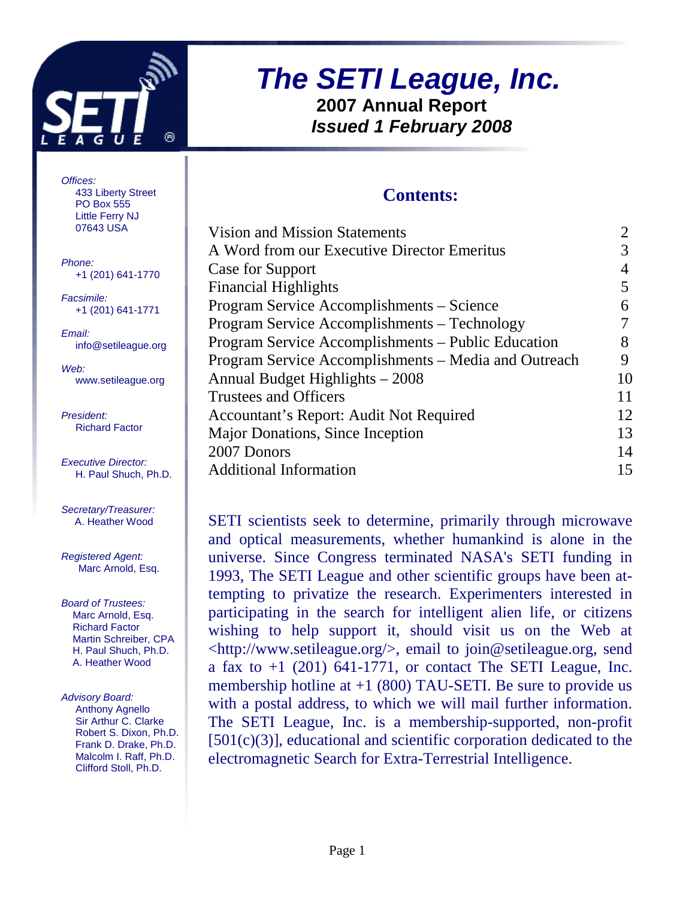

### **The SETI League, Inc. 2007 Annual Report Issued 1 February 2008**

#### **Contents:**

| Vision and Mission Statements                        |    |
|------------------------------------------------------|----|
| A Word from our Executive Director Emeritus          |    |
| Case for Support                                     |    |
| <b>Financial Highlights</b>                          | 5  |
| Program Service Accomplishments – Science            | 6  |
| Program Service Accomplishments - Technology         |    |
| Program Service Accomplishments - Public Education   | 8  |
| Program Service Accomplishments – Media and Outreach | 9  |
| Annual Budget Highlights – 2008                      | 10 |
| <b>Trustees and Officers</b>                         |    |
| Accountant's Report: Audit Not Required              | 12 |
| Major Donations, Since Inception                     | 13 |
| 2007 Donors                                          | 14 |
| <b>Additional Information</b>                        | 15 |
|                                                      |    |

SETI scientists seek to determine, primarily through microwave and optical measurements, whether humankind is alone in the universe. Since Congress terminated NASA's SETI funding in 1993, The SETI League and other scientific groups have been attempting to privatize the research. Experimenters interested in participating in the search for intelligent alien life, or citizens wishing to help support it, should visit us on the Web at <http://www.setileague.org/>, email to join@setileague.org, send a fax to  $+1$  (201) 641-1771, or contact The SETI League, Inc. membership hotline at  $+1$  (800) TAU-SETI. Be sure to provide us with a postal address, to which we will mail further information. The SETI League, Inc. is a membership-supported, non-profit [501(c)(3)], educational and scientific corporation dedicated to the electromagnetic Search for Extra-Terrestrial Intelligence.

Offices: 433 Liberty Street PO Box 555 Little Ferry NJ 07643 USA

Phone: +1 (201) 641-1770

Facsimile: +1 (201) 641-1771

Email: info@setileague.org

Web: www.setileague.org

President: Richard Factor

Executive Director: H. Paul Shuch, Ph.D.

Secretary/Treasurer: A. Heather Wood

Registered Agent: Marc Arnold, Esq.

Board of Trustees: Marc Arnold, Esq. Richard Factor Martin Schreiber, CPA H. Paul Shuch, Ph.D. A. Heather Wood

Advisory Board: Anthony Agnello Sir Arthur C. Clarke Robert S. Dixon, Ph.D. Frank D. Drake, Ph.D. Malcolm I. Raff, Ph.D. Clifford Stoll, Ph.D.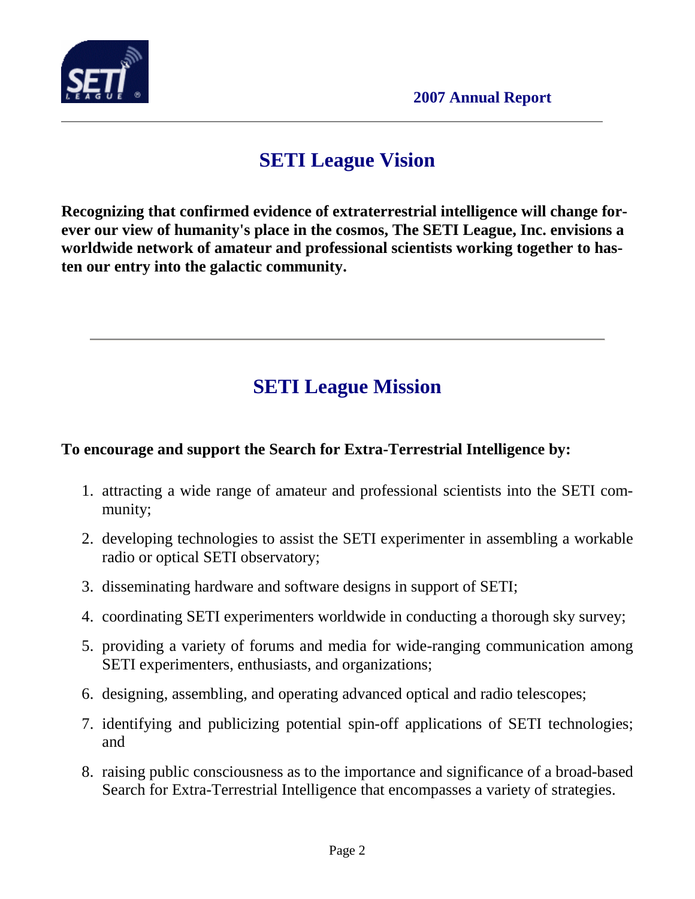

### **SETI League Vision**

**Recognizing that confirmed evidence of extraterrestrial intelligence will change forever our view of humanity's place in the cosmos, The SETI League, Inc. envisions a worldwide network of amateur and professional scientists working together to hasten our entry into the galactic community.** 

## **SETI League Mission**

#### **To encourage and support the Search for Extra-Terrestrial Intelligence by:**

- 1. attracting a wide range of amateur and professional scientists into the SETI community;
- 2. developing technologies to assist the SETI experimenter in assembling a workable radio or optical SETI observatory;
- 3. disseminating hardware and software designs in support of SETI;
- 4. coordinating SETI experimenters worldwide in conducting a thorough sky survey;
- 5. providing a variety of forums and media for wide-ranging communication among SETI experimenters, enthusiasts, and organizations;
- 6. designing, assembling, and operating advanced optical and radio telescopes;
- 7. identifying and publicizing potential spin-off applications of SETI technologies; and
- 8. raising public consciousness as to the importance and significance of a broad-based Search for Extra-Terrestrial Intelligence that encompasses a variety of strategies.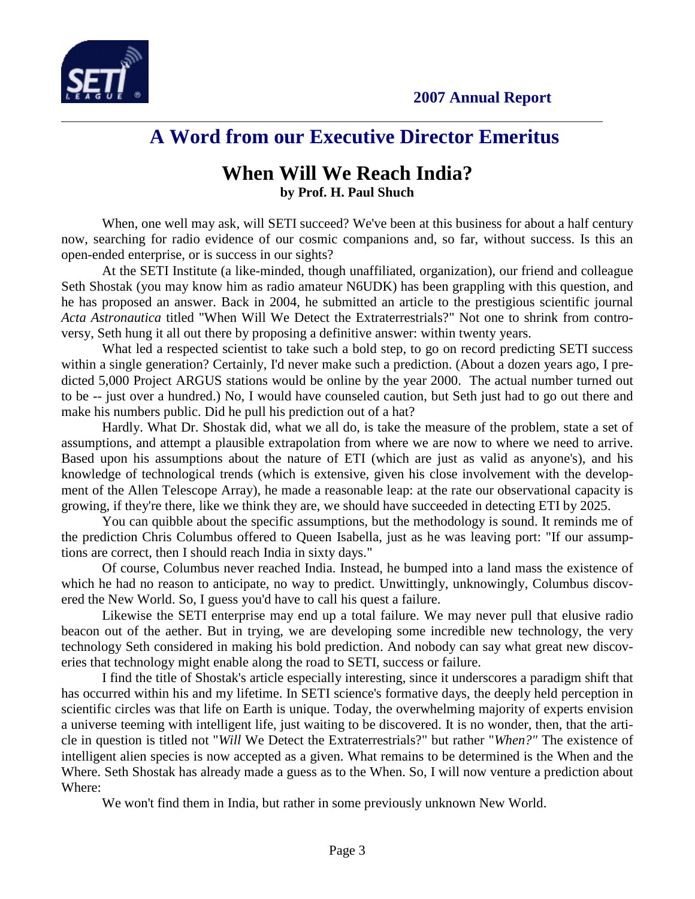



#### **A Word from our Executive Director Emeritus**

#### **When Will We Reach India? by Prof. H. Paul Shuch**

When, one well may ask, will SETI succeed? We've been at this business for about a half century now, searching for radio evidence of our cosmic companions and, so far, without success. Is this an open-ended enterprise, or is success in our sights?

At the SETI Institute (a like-minded, though unaffiliated, organization), our friend and colleague Seth Shostak (you may know him as radio amateur N6UDK) has been grappling with this question, and he has proposed an answer. Back in 2004, he submitted an article to the prestigious scientific journal *Acta Astronautica* titled "When Will We Detect the Extraterrestrials?" Not one to shrink from controversy, Seth hung it all out there by proposing a definitive answer: within twenty years.

What led a respected scientist to take such a bold step, to go on record predicting SETI success within a single generation? Certainly, I'd never make such a prediction. (About a dozen years ago, I predicted 5,000 Project ARGUS stations would be online by the year 2000. The actual number turned out to be -- just over a hundred.) No, I would have counseled caution, but Seth just had to go out there and make his numbers public. Did he pull his prediction out of a hat?

Hardly. What Dr. Shostak did, what we all do, is take the measure of the problem, state a set of assumptions, and attempt a plausible extrapolation from where we are now to where we need to arrive. Based upon his assumptions about the nature of ETI (which are just as valid as anyone's), and his knowledge of technological trends (which is extensive, given his close involvement with the development of the Allen Telescope Array), he made a reasonable leap: at the rate our observational capacity is growing, if they're there, like we think they are, we should have succeeded in detecting ETI by 2025.

You can quibble about the specific assumptions, but the methodology is sound. It reminds me of the prediction Chris Columbus offered to Queen Isabella, just as he was leaving port: "If our assumptions are correct, then I should reach India in sixty days."

Of course, Columbus never reached India. Instead, he bumped into a land mass the existence of which he had no reason to anticipate, no way to predict. Unwittingly, unknowingly, Columbus discovered the New World. So, I guess you'd have to call his quest a failure.

Likewise the SETI enterprise may end up a total failure. We may never pull that elusive radio beacon out of the aether. But in trying, we are developing some incredible new technology, the very technology Seth considered in making his bold prediction. And nobody can say what great new discoveries that technology might enable along the road to SETI, success or failure.

I find the title of Shostak's article especially interesting, since it underscores a paradigm shift that has occurred within his and my lifetime. In SETI science's formative days, the deeply held perception in scientific circles was that life on Earth is unique. Today, the overwhelming majority of experts envision a universe teeming with intelligent life, just waiting to be discovered. It is no wonder, then, that the article in question is titled not "*Will* We Detect the Extraterrestrials?" but rather "*When?"* The existence of intelligent alien species is now accepted as a given. What remains to be determined is the When and the Where. Seth Shostak has already made a guess as to the When. So, I will now venture a prediction about Where:

We won't find them in India, but rather in some previously unknown New World.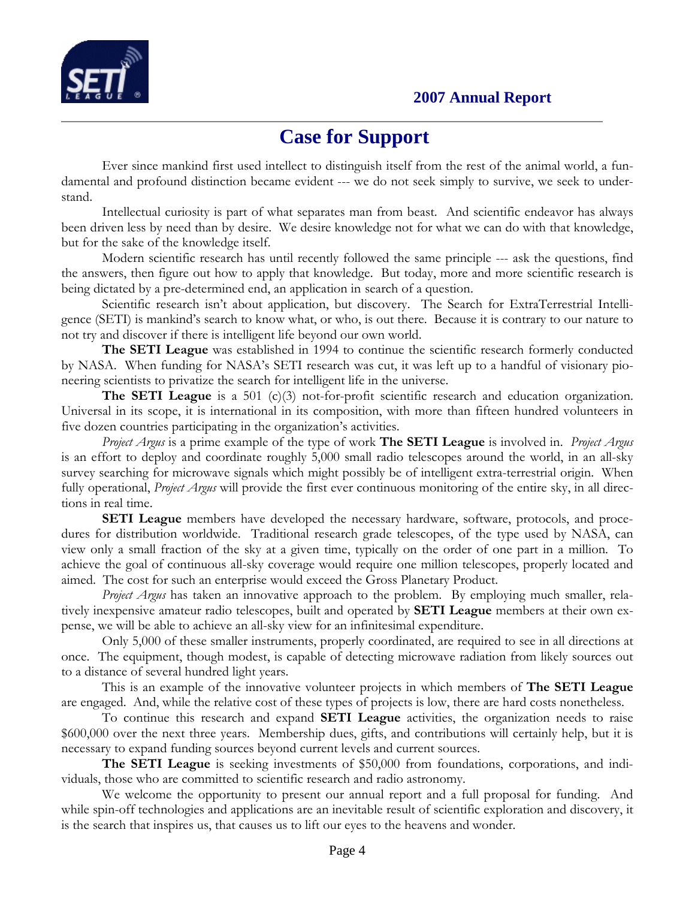

#### **Case for Support**

Ever since mankind first used intellect to distinguish itself from the rest of the animal world, a fundamental and profound distinction became evident --- we do not seek simply to survive, we seek to understand.

 Intellectual curiosity is part of what separates man from beast. And scientific endeavor has always been driven less by need than by desire. We desire knowledge not for what we can do with that knowledge, but for the sake of the knowledge itself.

 Modern scientific research has until recently followed the same principle --- ask the questions, find the answers, then figure out how to apply that knowledge. But today, more and more scientific research is being dictated by a pre-determined end, an application in search of a question.

Scientific research isn't about application, but discovery. The Search for ExtraTerrestrial Intelligence (SETI) is mankind's search to know what, or who, is out there. Because it is contrary to our nature to not try and discover if there is intelligent life beyond our own world.

The SETI League was established in 1994 to continue the scientific research formerly conducted by NASA. When funding for NASA's SETI research was cut, it was left up to a handful of visionary pioneering scientists to privatize the search for intelligent life in the universe.

**The SETI League** is a 501 (c)(3) not-for-profit scientific research and education organization. Universal in its scope, it is international in its composition, with more than fifteen hundred volunteers in five dozen countries participating in the organization's activities.

Project Argus is a prime example of the type of work **The SETI League** is involved in. *Project Argus* is an effort to deploy and coordinate roughly 5,000 small radio telescopes around the world, in an all-sky survey searching for microwave signals which might possibly be of intelligent extra-terrestrial origin. When fully operational, *Project Argus* will provide the first ever continuous monitoring of the entire sky, in all directions in real time.

SETI League members have developed the necessary hardware, software, protocols, and procedures for distribution worldwide. Traditional research grade telescopes, of the type used by NASA, can view only a small fraction of the sky at a given time, typically on the order of one part in a million. To achieve the goal of continuous all-sky coverage would require one million telescopes, properly located and aimed. The cost for such an enterprise would exceed the Gross Planetary Product.

*Project Argus* has taken an innovative approach to the problem. By employing much smaller, relatively inexpensive amateur radio telescopes, built and operated by SETI League members at their own expense, we will be able to achieve an all-sky view for an infinitesimal expenditure.

Only 5,000 of these smaller instruments, properly coordinated, are required to see in all directions at once. The equipment, though modest, is capable of detecting microwave radiation from likely sources out to a distance of several hundred light years.

This is an example of the innovative volunteer projects in which members of The SETI League are engaged. And, while the relative cost of these types of projects is low, there are hard costs nonetheless.

To continue this research and expand SETI League activities, the organization needs to raise \$600,000 over the next three years. Membership dues, gifts, and contributions will certainly help, but it is necessary to expand funding sources beyond current levels and current sources.

The SETI League is seeking investments of \$50,000 from foundations, corporations, and individuals, those who are committed to scientific research and radio astronomy.

We welcome the opportunity to present our annual report and a full proposal for funding. And while spin-off technologies and applications are an inevitable result of scientific exploration and discovery, it is the search that inspires us, that causes us to lift our eyes to the heavens and wonder.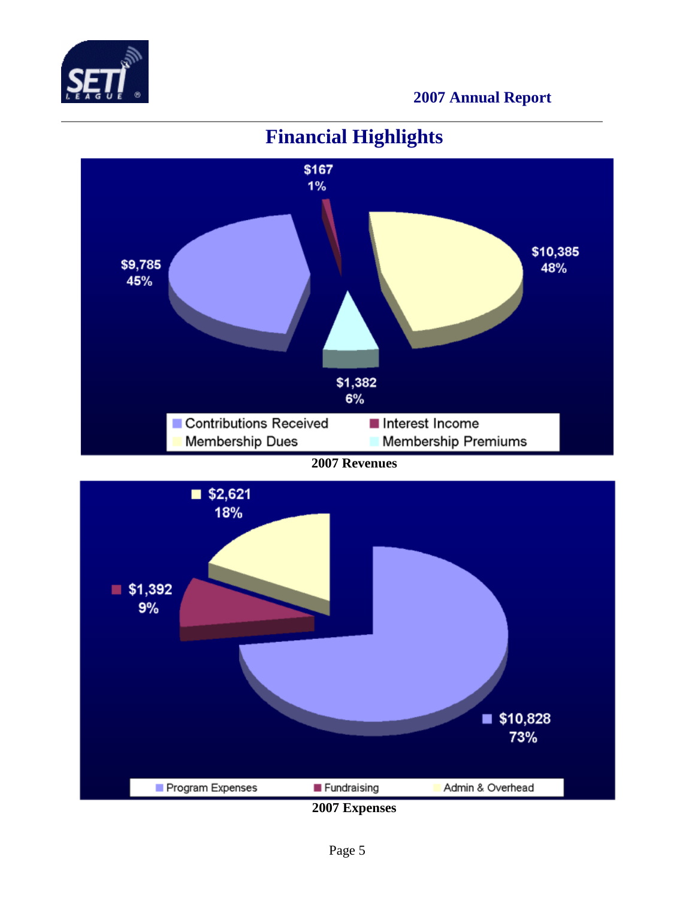



## **Financial Highlights**

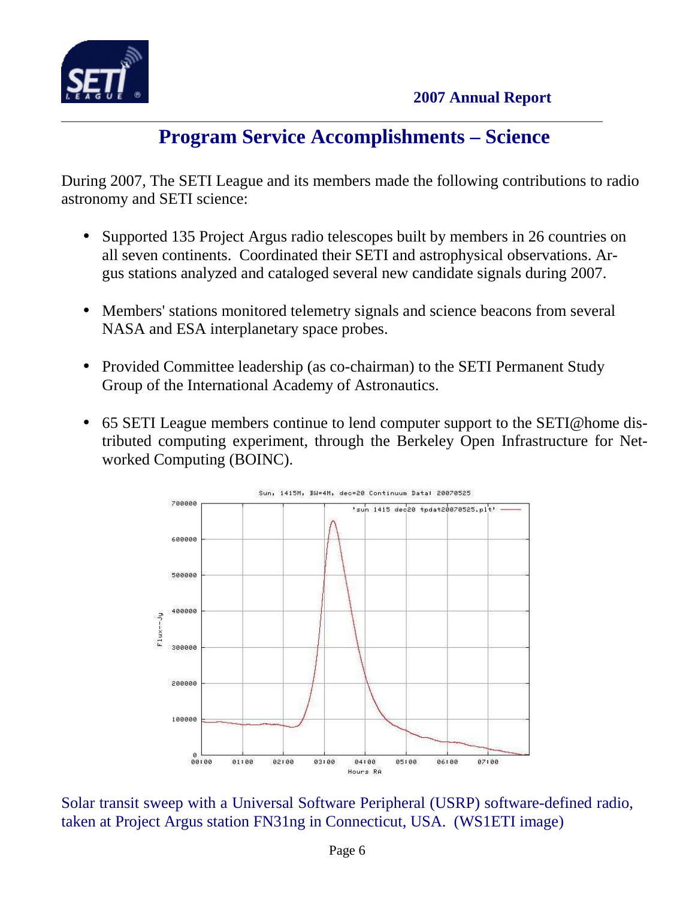

## **Program Service Accomplishments – Science**

During 2007, The SETI League and its members made the following contributions to radio astronomy and SETI science:

- Supported 135 Project Argus radio telescopes built by members in 26 countries on all seven continents. Coordinated their SETI and astrophysical observations. Argus stations analyzed and cataloged several new candidate signals during 2007.
- Members' stations monitored telemetry signals and science beacons from several NASA and ESA interplanetary space probes.
- Provided Committee leadership (as co-chairman) to the SETI Permanent Study Group of the International Academy of Astronautics.
- 65 SETI League members continue to lend computer support to the SETI@home distributed computing experiment, through the Berkeley Open Infrastructure for Networked Computing (BOINC).



Solar transit sweep with a Universal Software Peripheral (USRP) software-defined radio, taken at Project Argus station FN31ng in Connecticut, USA. (WS1ETI image)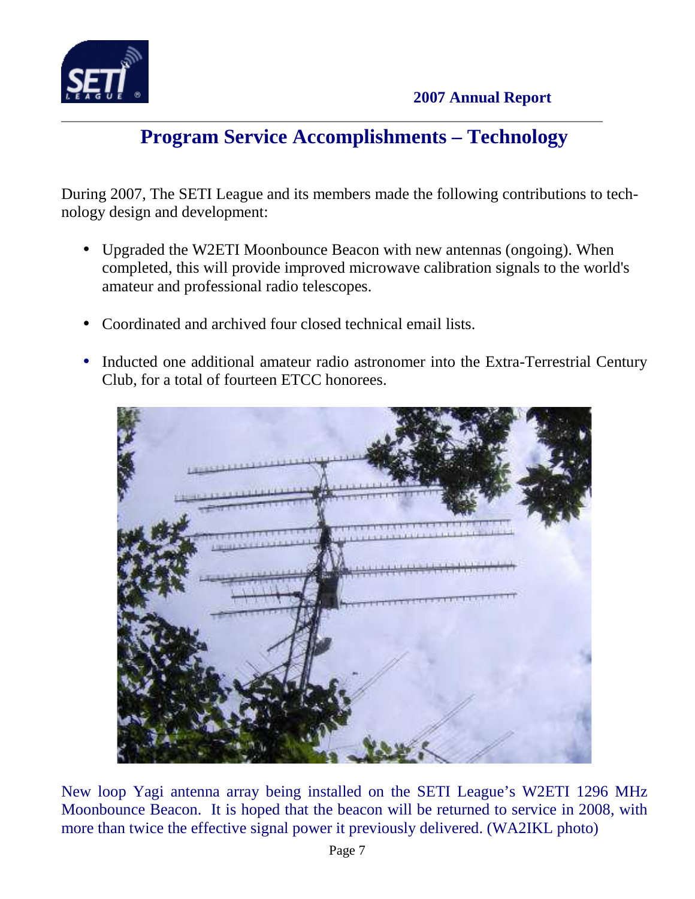

## **Program Service Accomplishments – Technology**

During 2007, The SETI League and its members made the following contributions to technology design and development:

- Upgraded the W2ETI Moonbounce Beacon with new antennas (ongoing). When completed, this will provide improved microwave calibration signals to the world's amateur and professional radio telescopes.
- Coordinated and archived four closed technical email lists.
- Inducted one additional amateur radio astronomer into the Extra-Terrestrial Century Club, for a total of fourteen ETCC honorees.



New loop Yagi antenna array being installed on the SETI League's W2ETI 1296 MHz Moonbounce Beacon. It is hoped that the beacon will be returned to service in 2008, with more than twice the effective signal power it previously delivered. (WA2IKL photo)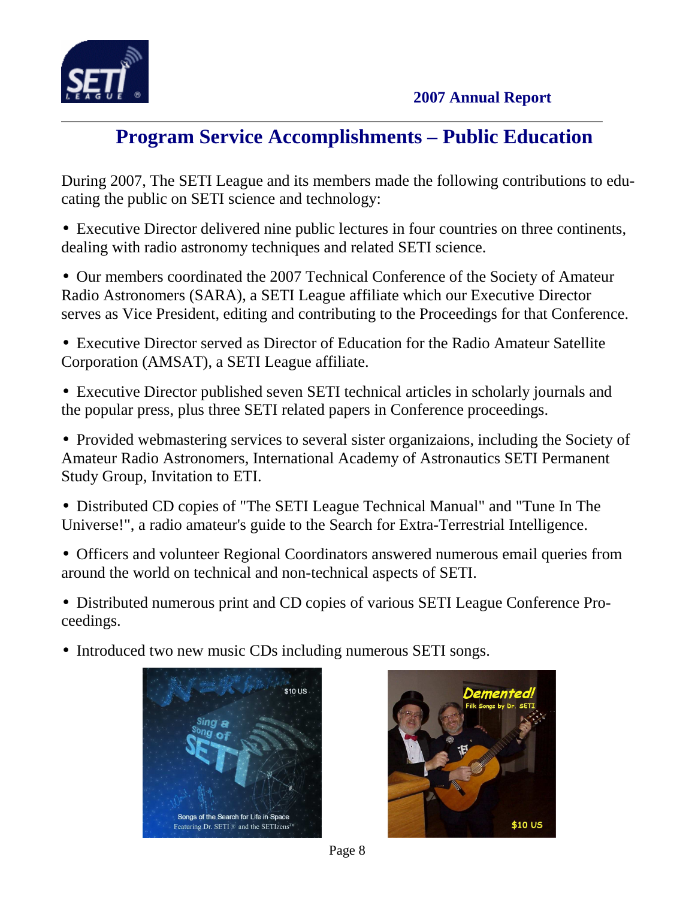

## **Program Service Accomplishments – Public Education**

During 2007, The SETI League and its members made the following contributions to educating the public on SETI science and technology:

• Executive Director delivered nine public lectures in four countries on three continents, dealing with radio astronomy techniques and related SETI science.

• Our members coordinated the 2007 Technical Conference of the Society of Amateur Radio Astronomers (SARA), a SETI League affiliate which our Executive Director serves as Vice President, editing and contributing to the Proceedings for that Conference.

• Executive Director served as Director of Education for the Radio Amateur Satellite Corporation (AMSAT), a SETI League affiliate.

• Executive Director published seven SETI technical articles in scholarly journals and the popular press, plus three SETI related papers in Conference proceedings.

• Provided webmastering services to several sister organizaions, including the Society of Amateur Radio Astronomers, International Academy of Astronautics SETI Permanent Study Group, Invitation to ETI.

- Distributed CD copies of "The SETI League Technical Manual" and "Tune In The Universe!", a radio amateur's guide to the Search for Extra-Terrestrial Intelligence.
- Officers and volunteer Regional Coordinators answered numerous email queries from around the world on technical and non-technical aspects of SETI.

• Distributed numerous print and CD copies of various SETI League Conference Proceedings.

• Introduced two new music CDs including numerous SETI songs.





Page 8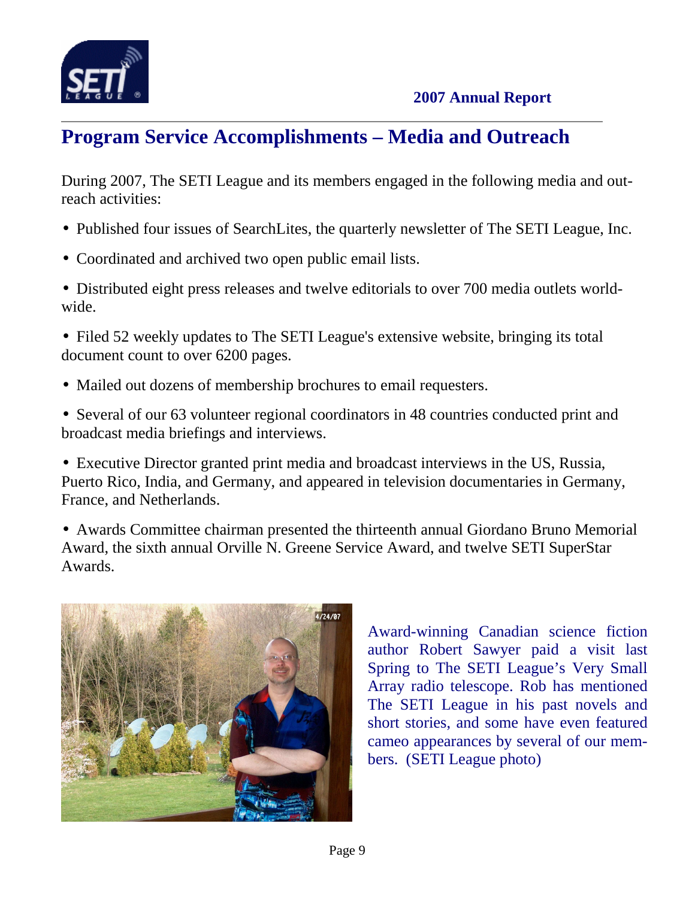

## **Program Service Accomplishments – Media and Outreach**

During 2007, The SETI League and its members engaged in the following media and outreach activities:

- Published four issues of SearchLites, the quarterly newsletter of The SETI League, Inc.
- Coordinated and archived two open public email lists.
- Distributed eight press releases and twelve editorials to over 700 media outlets worldwide.
- Filed 52 weekly updates to The SETI League's extensive website, bringing its total document count to over 6200 pages.
- Mailed out dozens of membership brochures to email requesters.
- Several of our 63 volunteer regional coordinators in 48 countries conducted print and broadcast media briefings and interviews.
- Executive Director granted print media and broadcast interviews in the US, Russia, Puerto Rico, India, and Germany, and appeared in television documentaries in Germany, France, and Netherlands.

• Awards Committee chairman presented the thirteenth annual Giordano Bruno Memorial Award, the sixth annual Orville N. Greene Service Award, and twelve SETI SuperStar Awards.



Award-winning Canadian science fiction author Robert Sawyer paid a visit last Spring to The SETI League's Very Small Array radio telescope. Rob has mentioned The SETI League in his past novels and short stories, and some have even featured cameo appearances by several of our members. (SETI League photo)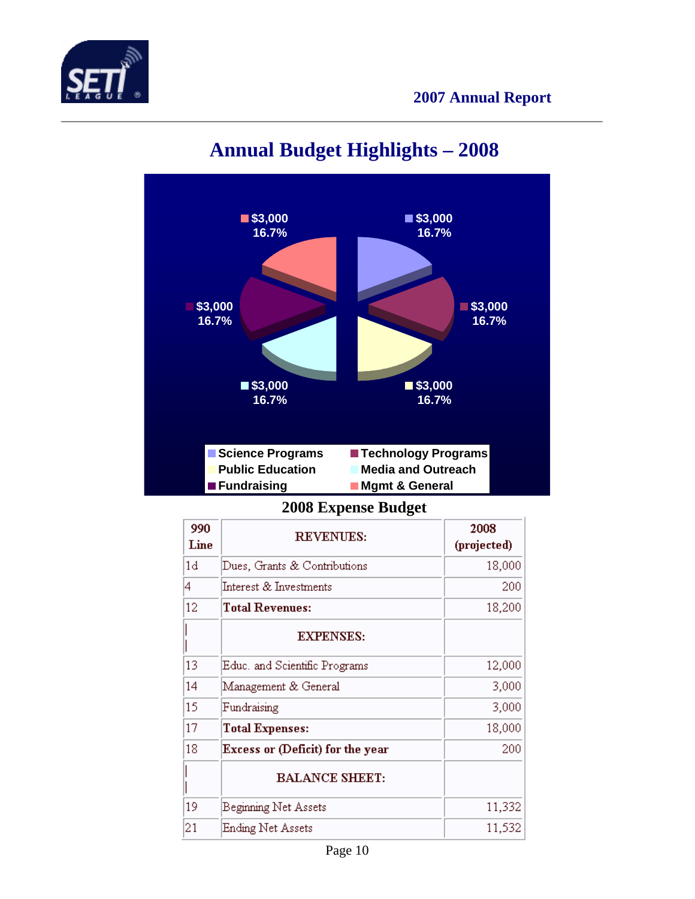



# **Annual Budget Highlights – 2008**

**2008 Expense Budget** 

| 990  | <b>REVENUES:</b>                 | 2008        |
|------|----------------------------------|-------------|
| Line |                                  | (projected) |
| 1d   | Dues, Grants & Contributions     | 18,000      |
| 4    | Interest & Investments           | 200         |
| 12   | <b>Total Revenues:</b>           | 18,200      |
|      | <b>EXPENSES:</b>                 |             |
| 13   | Educ, and Scientific Programs    | 12,000      |
| 14   | Management & General             | 3,000       |
| 15   | Fundraising                      | 3,000       |
| 17   | <b>Total Expenses:</b>           | 18,000      |
| 18   | Excess or (Deficit) for the year | 200         |
|      | <b>BALANCE SHEET:</b>            |             |
| 19   | <b>Beginning Net Assets</b>      | 11,332      |
| 21   | Ending Net Assets                | 11,532      |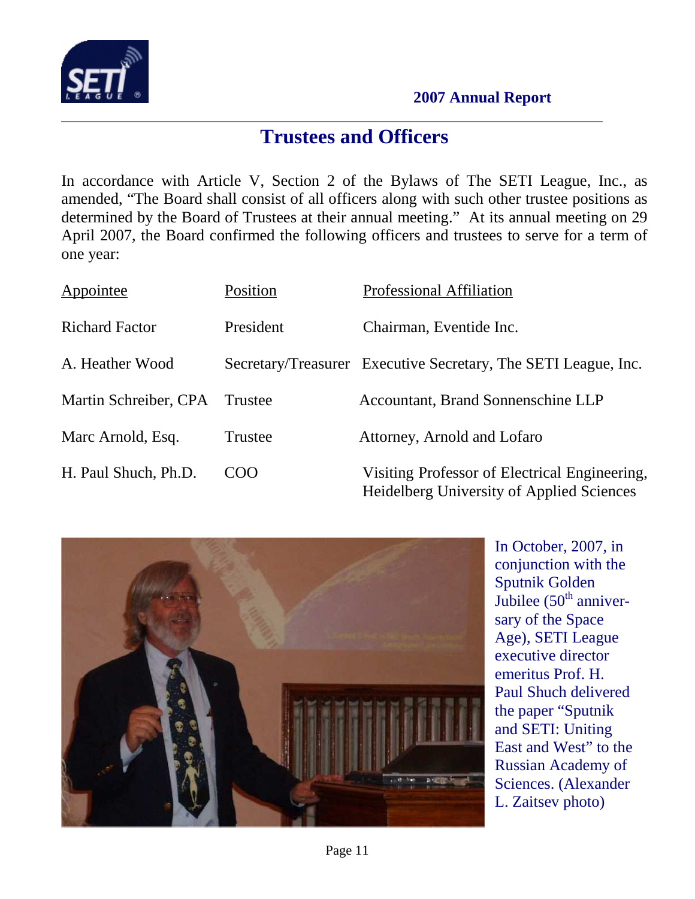

### **Trustees and Officers**

In accordance with Article V, Section 2 of the Bylaws of The SETI League, Inc., as amended, "The Board shall consist of all officers along with such other trustee positions as determined by the Board of Trustees at their annual meeting." At its annual meeting on 29 April 2007, the Board confirmed the following officers and trustees to serve for a term of one year:

| Appointee             | Position  | <b>Professional Affiliation</b>                                                                   |
|-----------------------|-----------|---------------------------------------------------------------------------------------------------|
| <b>Richard Factor</b> | President | Chairman, Eventide Inc.                                                                           |
| A. Heather Wood       |           | Secretary/Treasurer Executive Secretary, The SETI League, Inc.                                    |
| Martin Schreiber, CPA | Trustee   | <b>Accountant, Brand Sonnenschine LLP</b>                                                         |
| Marc Arnold, Esq.     | Trustee   | Attorney, Arnold and Lofaro                                                                       |
| H. Paul Shuch, Ph.D.  | COO       | Visiting Professor of Electrical Engineering,<br><b>Heidelberg University of Applied Sciences</b> |



In October, 2007, in conjunction with the Sputnik Golden Jubilee  $(50<sup>th</sup>$  anniversary of the Space Age), SETI League executive director emeritus Prof. H. Paul Shuch delivered the paper "Sputnik and SETI: Uniting East and West" to the Russian Academy of Sciences. (Alexander L. Zaitsev photo)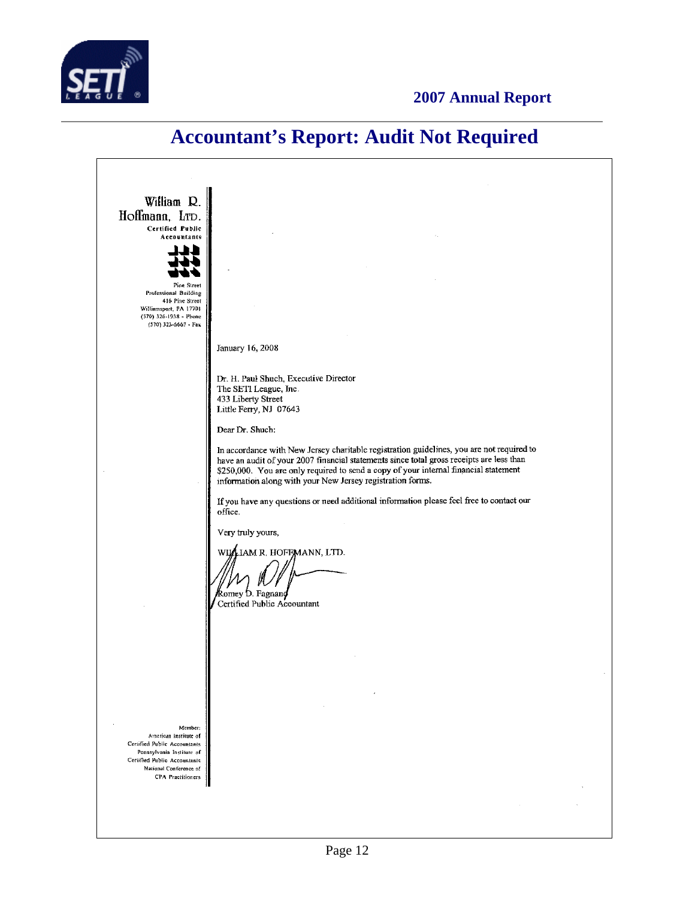

### **Accountant's Report: Audit Not Required**

William R. Hoffmann, LTD. **Certified Public** Accountants L Pine Street Professional Building 416 Pine Street Williamsport, PA 17701<br>(570) 326-1938 - Phone  $(570)$  323-6667 - Fax January 16, 2008 Dr. H. Paul Shuch, Executive Director The SETI League, Inc. 433 Liberty Street Little Ferry, NJ 07643 Dear Dr. Shuch: In accordance with New Jersey charitable registration guidelines, you are not required to have an audit of your 2007 financial statements since total gross receipts are less than \$250,000. You are only required to send a copy of your internal financial statement information along with your New Jersey registration forms. If you have any questions or need additional information please feel free to contact our office. Very truly yours, WILLIAM R. HOFFMANN, LTD. Romey D. Fagnand Certified Public Accountant Member American Institute of Certified Public Accountants Pennsylvania Institute of Certified Public Accountants Mational Conference of CPA Practitioners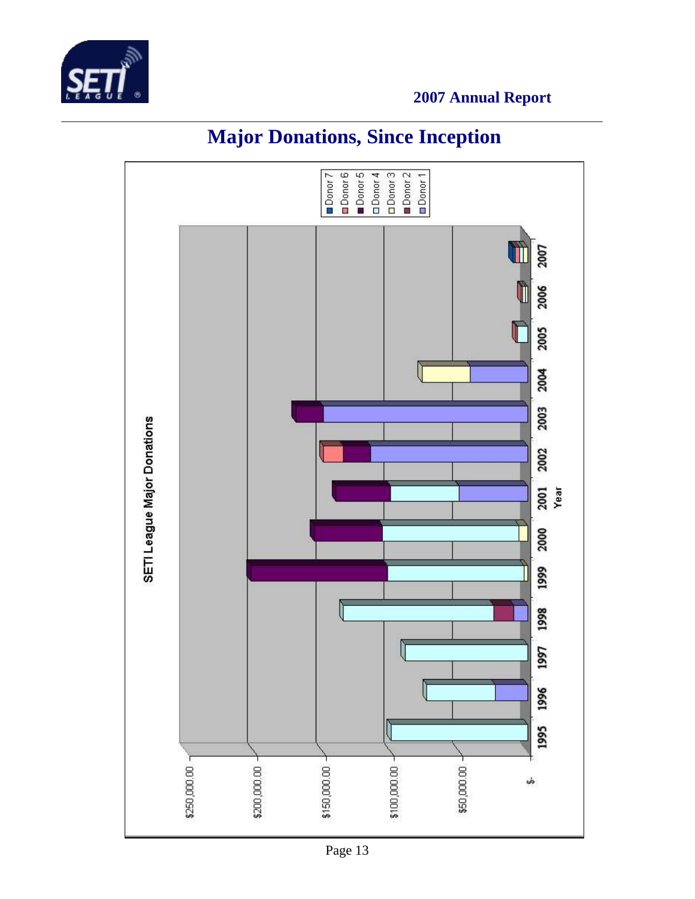



# **Major Donations, Since Inception**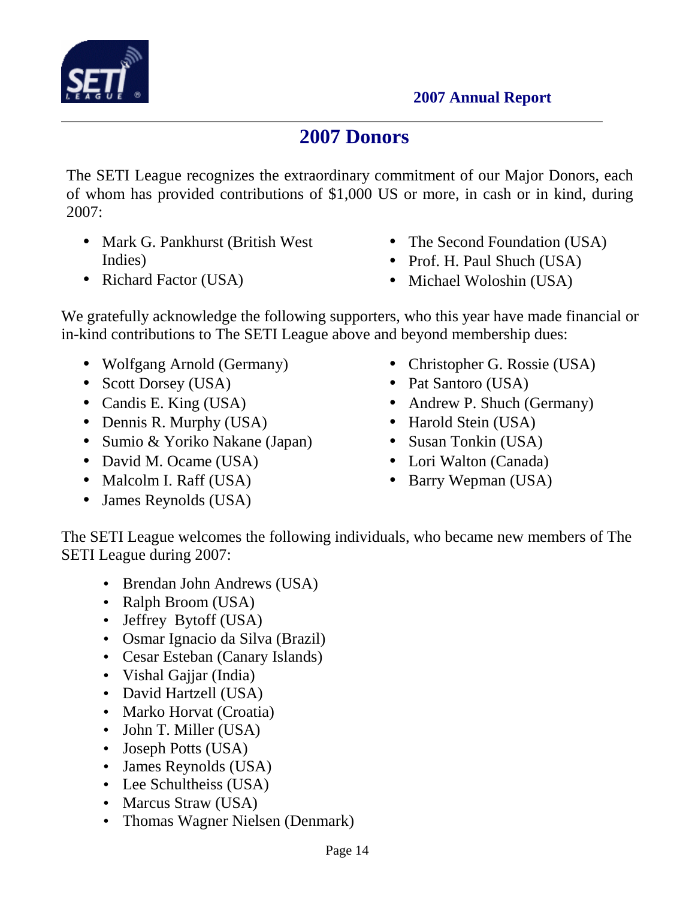

## **2007 Donors**

The SETI League recognizes the extraordinary commitment of our Major Donors, each of whom has provided contributions of \$1,000 US or more, in cash or in kind, during 2007:

- Mark G. Pankhurst (British West Indies)
- Richard Factor (USA)
- The Second Foundation (USA)
- Prof. H. Paul Shuch (USA)
- Michael Woloshin (USA)

We gratefully acknowledge the following supporters, who this year have made financial or in-kind contributions to The SETI League above and beyond membership dues:

- Wolfgang Arnold (Germany)
- Scott Dorsey (USA)
- Candis E. King (USA)
- Dennis R. Murphy (USA)
- Sumio & Yoriko Nakane (Japan)
- David M. Ocame (USA)
- Malcolm I. Raff (USA)
- James Reynolds (USA)
- Christopher G. Rossie (USA)
- Pat Santoro (USA)
- Andrew P. Shuch (Germany)
- Harold Stein (USA)
- Susan Tonkin (USA)
- Lori Walton (Canada)
- Barry Wepman (USA)

The SETI League welcomes the following individuals, who became new members of The SETI League during 2007:

- Brendan John Andrews (USA)
- Ralph Broom (USA)
- Jeffrey Bytoff (USA)
- Osmar Ignacio da Silva (Brazil)
- Cesar Esteban (Canary Islands)
- Vishal Gajjar (India)
- David Hartzell (USA)
- Marko Horvat (Croatia)
- John T. Miller (USA)
- Joseph Potts (USA)
- James Reynolds (USA)
- Lee Schultheiss (USA)
- Marcus Straw (USA)
- Thomas Wagner Nielsen (Denmark)